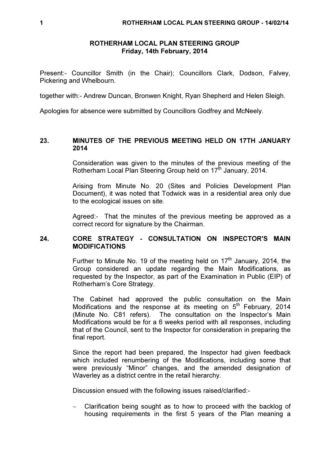#### ROTHERHAM LOCAL PLAN STEERING GROUP Friday, 14th February, 2014

Present:- Councillor Smith (in the Chair); Councillors Clark, Dodson, Falvey, Pickering and Whelbourn.

together with:- Andrew Duncan, Bronwen Knight, Ryan Shepherd and Helen Sleigh.

Apologies for absence were submitted by Councillors Godfrey and McNeely.

#### 23. MINUTES OF THE PREVIOUS MEETING HELD ON 17TH JANUARY 2014

Consideration was given to the minutes of the previous meeting of the Rotherham Local Plan Steering Group held on 17<sup>th</sup> January, 2014.

Arising from Minute No. 20 (Sites and Policies Development Plan Document), it was noted that Todwick was in a residential area only due to the ecological issues on site.

Agreed:- That the minutes of the previous meeting be approved as a correct record for signature by the Chairman.

## 24. CORE STRATEGY - CONSULTATION ON INSPECTOR'S MAIN MODIFICATIONS

Further to Minute No. 19 of the meeting held on  $17<sup>th</sup>$  January, 2014, the Group considered an update regarding the Main Modifications, as requested by the Inspector, as part of the Examination in Public (EIP) of Rotherham's Core Strategy.

The Cabinet had approved the public consultation on the Main Modifications and the response at its meeting on  $5<sup>th</sup>$  February, 2014 (Minute No. C81 refers). The consultation on the Inspector's Main Modifications would be for a 6 weeks period with all responses, including that of the Council, sent to the Inspector for consideration in preparing the final report.

Since the report had been prepared, the Inspector had given feedback which included renumbering of the Modifications, including some that were previously "Minor" changes, and the amended designation of Waverley as a district centre in the retail hierarchy.

Discussion ensued with the following issues raised/clarified:-

− Clarification being sought as to how to proceed with the backlog of housing requirements in the first 5 years of the Plan meaning a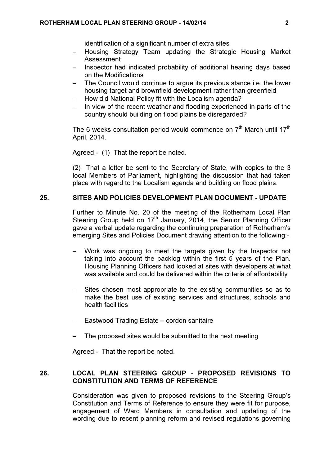identification of a significant number of extra sites

- − Housing Strategy Team updating the Strategic Housing Market Assessment
- Inspector had indicated probability of additional hearing days based on the Modifications
- The Council would continue to argue its previous stance i.e. the lower housing target and brownfield development rather than greenfield
- − How did National Policy fit with the Localism agenda?
- In view of the recent weather and flooding experienced in parts of the country should building on flood plains be disregarded?

The 6 weeks consultation period would commence on  $7<sup>th</sup>$  March until 17<sup>th</sup> April, 2014.

Agreed:- (1) That the report be noted.

(2) That a letter be sent to the Secretary of State, with copies to the 3 local Members of Parliament, highlighting the discussion that had taken place with regard to the Localism agenda and building on flood plains.

#### 25. SITES AND POLICIES DEVELOPMENT PLAN DOCUMENT - UPDATE

Further to Minute No. 20 of the meeting of the Rotherham Local Plan Steering Group held on  $17<sup>th</sup>$  January, 2014, the Senior Planning Officer gave a verbal update regarding the continuing preparation of Rotherham's emerging Sites and Policies Document drawing attention to the following:-

- Work was ongoing to meet the targets given by the Inspector not taking into account the backlog within the first 5 years of the Plan. Housing Planning Officers had looked at sites with developers at what was available and could be delivered within the criteria of affordability
- Sites chosen most appropriate to the existing communities so as to make the best use of existing services and structures, schools and health facilities
- − Eastwood Trading Estate cordon sanitaire
- − The proposed sites would be submitted to the next meeting

Agreed:- That the report be noted.

# 26. LOCAL PLAN STEERING GROUP - PROPOSED REVISIONS TO CONSTITUTION AND TERMS OF REFERENCE

Consideration was given to proposed revisions to the Steering Group's Constitution and Terms of Reference to ensure they were fit for purpose, engagement of Ward Members in consultation and updating of the wording due to recent planning reform and revised regulations governing